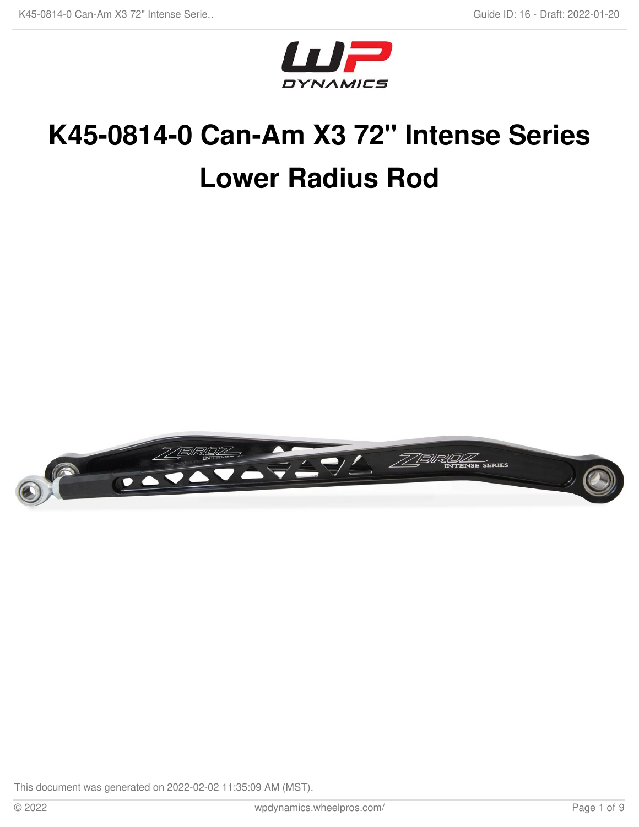

# **K45-0814-0 Can-Am X3 72" Intense Series Lower Radius Rod**

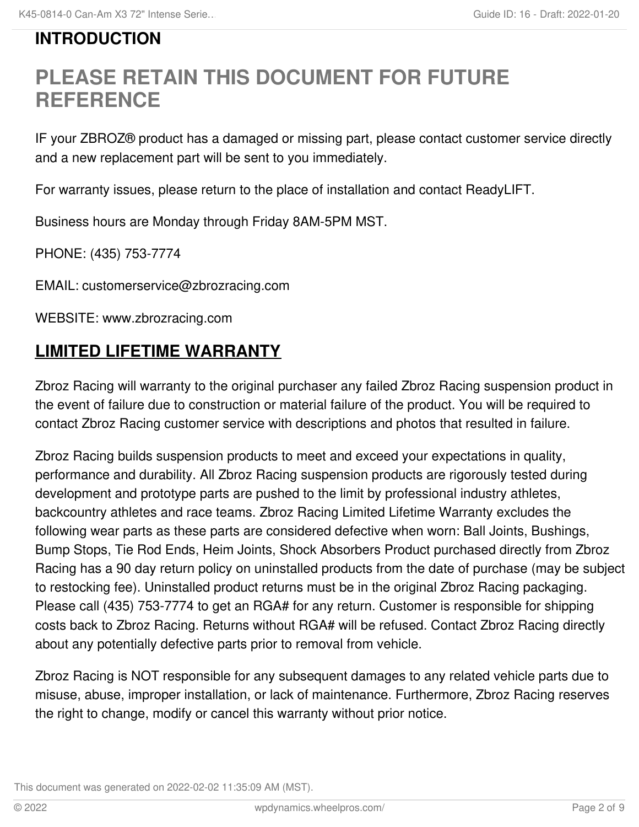# **INTRODUCTION**

# **PLEASE RETAIN THIS DOCUMENT FOR FUTURE REFERENCE**

IF your ZBROZ® product has a damaged or missing part, please contact customer service directly and a new replacement part will be sent to you immediately.

For warranty issues, please return to the place of installation and contact ReadyLIFT.

Business hours are Monday through Friday 8AM-5PM MST.

PHONE: (435) 753-7774

EMAIL: customerservice@zbrozracing.com

WEBSITE: www.zbrozracing.com

# **LIMITED LIFETIME WARRANTY**

Zbroz Racing will warranty to the original purchaser any failed Zbroz Racing suspension product in the event of failure due to construction or material failure of the product. You will be required to contact Zbroz Racing customer service with descriptions and photos that resulted in failure.

Zbroz Racing builds suspension products to meet and exceed your expectations in quality, performance and durability. All Zbroz Racing suspension products are rigorously tested during development and prototype parts are pushed to the limit by professional industry athletes, backcountry athletes and race teams. Zbroz Racing Limited Lifetime Warranty excludes the following wear parts as these parts are considered defective when worn: Ball Joints, Bushings, Bump Stops, Tie Rod Ends, Heim Joints, Shock Absorbers Product purchased directly from Zbroz Racing has a 90 day return policy on uninstalled products from the date of purchase (may be subject to restocking fee). Uninstalled product returns must be in the original Zbroz Racing packaging. Please call (435) 753-7774 to get an RGA# for any return. Customer is responsible for shipping costs back to Zbroz Racing. Returns without RGA# will be refused. Contact Zbroz Racing directly about any potentially defective parts prior to removal from vehicle.

Zbroz Racing is NOT responsible for any subsequent damages to any related vehicle parts due to misuse, abuse, improper installation, or lack of maintenance. Furthermore, Zbroz Racing reserves the right to change, modify or cancel this warranty without prior notice.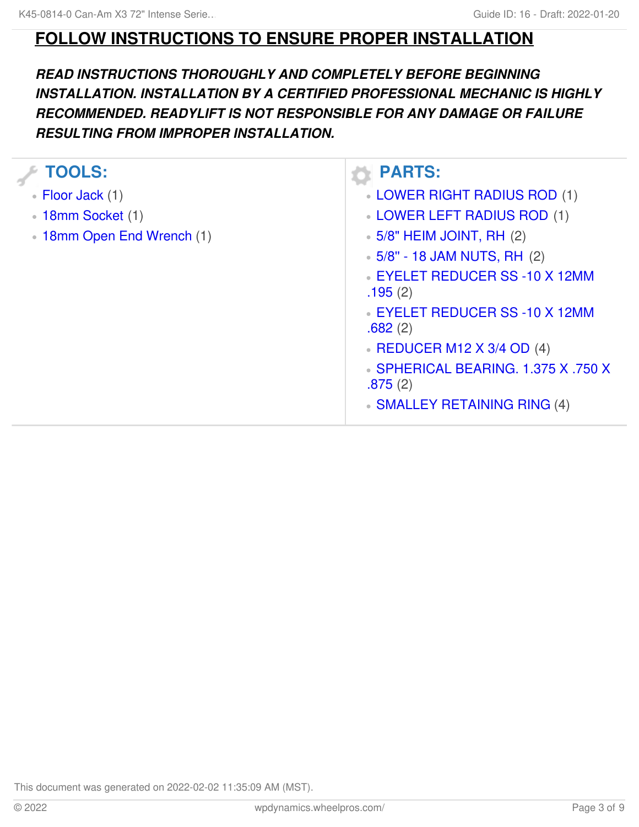## **FOLLOW INSTRUCTIONS TO ENSURE PROPER INSTALLATION**

### *READ INSTRUCTIONS THOROUGHLY AND COMPLETELY BEFORE BEGINNING INSTALLATION. INSTALLATION BY A CERTIFIED PROFESSIONAL MECHANIC IS HIGHLY RECOMMENDED. READYLIFT IS NOT RESPONSIBLE FOR ANY DAMAGE OR FAILURE RESULTING FROM IMPROPER INSTALLATION.*

#### **TOOLS:** [Floor](file:///Item/Floor_Jack) Jack (1) 18mm [Socket](file:///Item/18mm_Socket) (1) • 18mm Open End [Wrench](file:///Item/18mm_Open_End_Wrench) (1) **PARTS:** LOWER RIGHT [RADIUS](file:///Item/LOWER_RIGHT_RADIUS_ROD) ROD (1) LOWER LEFT [RADIUS](file:///Item/LOWER_LEFT_RADIUS_ROD) ROD (1) 5/8" HEIM [JOINT,](file:///Item/5_8%2522_HEIM_JOINT_RH) RH (2) 5/8'' - 18 JAM [NUTS,](file:///Item/5_8%2527%2527_-_18_JAM_NUTS_RH) RH (2) EYELET [REDUCER](file:///Item/EYELET_REDUCER_SS_-10_X_12MM_.195) SS -10 X 12MM .195 (2) EYELET [REDUCER](file:///Item/EYELET_REDUCER_SS_-10_X_12MM_.682) SS -10 X 12MM .682 (2) [REDUCER](file:///Item/REDUCER_M12_X_3_4_OD) M12  $X$  3/4 OD (4) [SPHERICAL](file:///Item/SPHERICAL_BEARING._1.375_X_.750_X_.875) BEARING. 1.375 X .750 X .875 (2) SMALLEY [RETAINING](file:///Item/SMALLEY_RETAINING_RING) RING (4)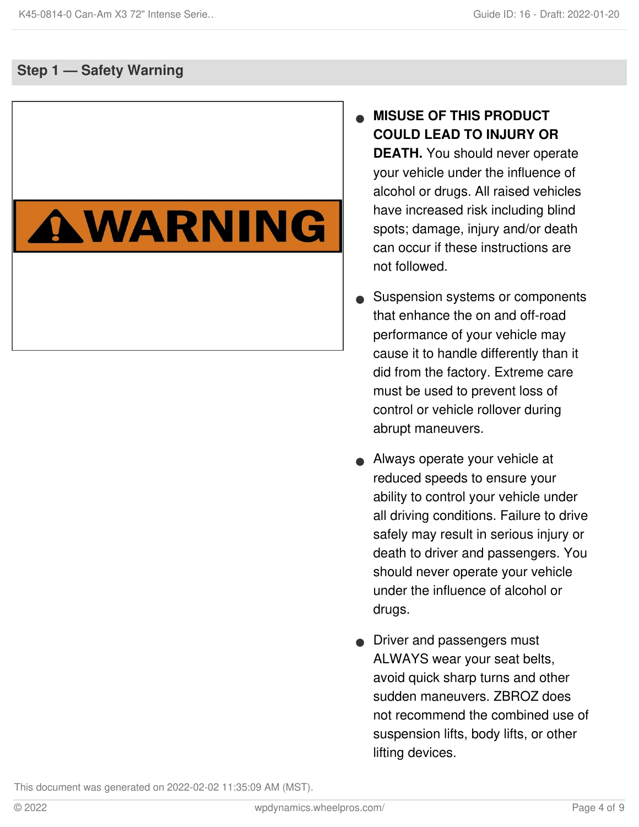#### **Step 1 — Safety Warning**

# AWARNING

- **MISUSE OF THIS PRODUCT COULD LEAD TO INJURY OR DEATH.** You should never operate your vehicle under the influence of alcohol or drugs. All raised vehicles have increased risk including blind spots; damage, injury and/or death can occur if these instructions are not followed.  $\bullet$
- Suspension systems or components that enhance the on and off-road performance of your vehicle may cause it to handle differently than it did from the factory. Extreme care must be used to prevent loss of control or vehicle rollover during abrupt maneuvers.  $\bullet$
- Always operate your vehicle at reduced speeds to ensure your ability to control your vehicle under all driving conditions. Failure to drive safely may result in serious injury or death to driver and passengers. You should never operate your vehicle under the influence of alcohol or drugs.  $\bullet$
- **•** Driver and passengers must ALWAYS wear your seat belts, avoid quick sharp turns and other sudden maneuvers. ZBROZ does not recommend the combined use of suspension lifts, body lifts, or other lifting devices.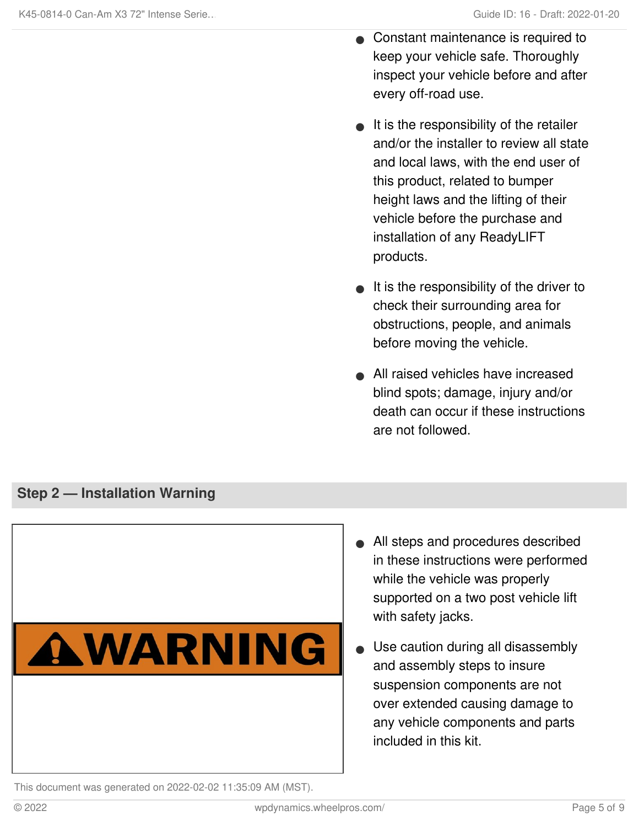- Constant maintenance is required to keep your vehicle safe. Thoroughly inspect your vehicle before and after every off-road use.  $\bullet$
- $\bullet$  It is the responsibility of the retailer and/or the installer to review all state and local laws, with the end user of this product, related to bumper height laws and the lifting of their vehicle before the purchase and installation of any ReadyLIFT products.
- $\bullet$  It is the responsibility of the driver to check their surrounding area for obstructions, people, and animals before moving the vehicle.
- All raised vehicles have increased blind spots; damage, injury and/or death can occur if these instructions are not followed.

#### **Step 2 — Installation Warning**



- All steps and procedures described in these instructions were performed while the vehicle was properly supported on a two post vehicle lift with safety jacks.
- Use caution during all disassembly and assembly steps to insure suspension components are not over extended causing damage to any vehicle components and parts included in this kit.  $\bullet$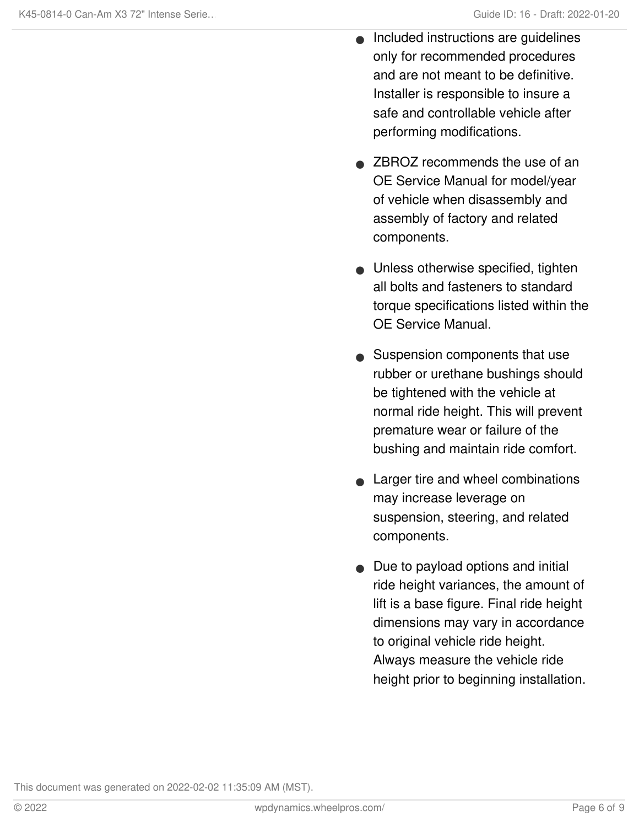- Included instructions are guidelines only for recommended procedures and are not meant to be definitive. Installer is responsible to insure a safe and controllable vehicle after performing modifications.  $\bullet$
- **ZBROZ recommends the use of an** OE Service Manual for model/year of vehicle when disassembly and assembly of factory and related components.
- Unless otherwise specified, tighten all bolts and fasteners to standard torque specifications listed within the OE Service Manual.
- Suspension components that use rubber or urethane bushings should be tightened with the vehicle at normal ride height. This will prevent premature wear or failure of the bushing and maintain ride comfort.
- Larger tire and wheel combinations may increase leverage on suspension, steering, and related components.  $\bullet$
- Due to payload options and initial ride height variances, the amount of lift is a base figure. Final ride height dimensions may vary in accordance to original vehicle ride height. Always measure the vehicle ride height prior to beginning installation.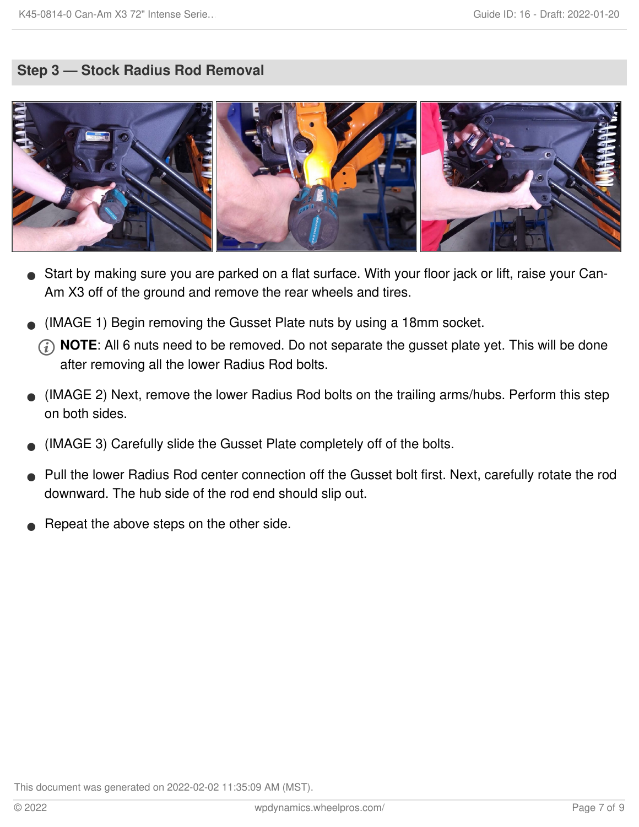#### **Step 3 — Stock Radius Rod Removal**



- Start by making sure you are parked on a flat surface. With your floor jack or lift, raise your Can- Am X3 off of the ground and remove the rear wheels and tires.
- (IMAGE 1) Begin removing the Gusset Plate nuts by using a 18mm socket.
	- **NOTE**: All 6 nuts need to be removed. Do not separate the gusset plate yet. This will be done after removing all the lower Radius Rod bolts.
- (IMAGE 2) Next, remove the lower Radius Rod bolts on the trailing arms/hubs. Perform this step on both sides.  $\bullet$
- (IMAGE 3) Carefully slide the Gusset Plate completely off of the bolts.
- Pull the lower Radius Rod center connection off the Gusset bolt first. Next, carefully rotate the rod downward. The hub side of the rod end should slip out.  $\bullet$
- Repeat the above steps on the other side.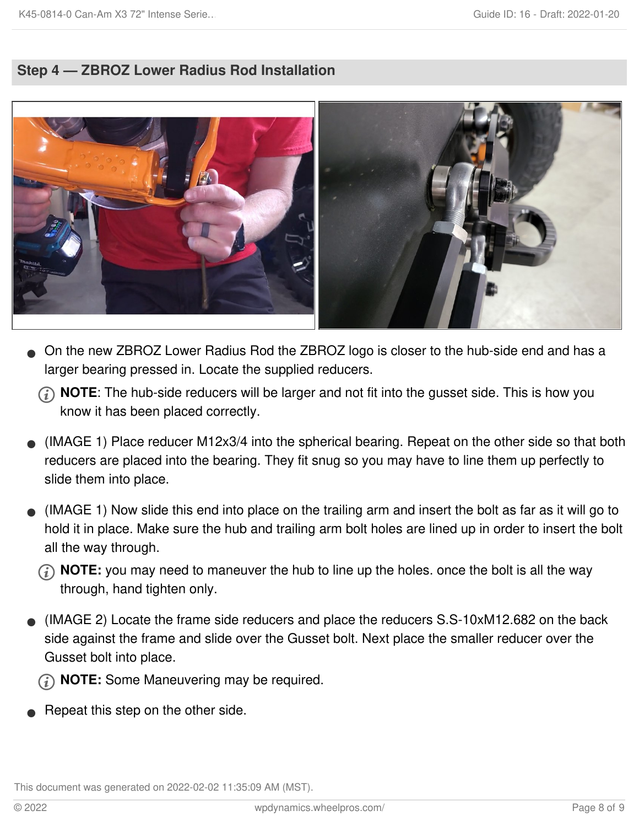#### **Step 4 — ZBROZ Lower Radius Rod Installation**



- On the new ZBROZ Lower Radius Rod the ZBROZ logo is closer to the hub-side end and has a larger bearing pressed in. Locate the supplied reducers.  $\bullet$ 
	- **NOTE**: The hub-side reducers will be larger and not fit into the gusset side. This is how you know it has been placed correctly.
- (IMAGE 1) Place reducer M12x3/4 into the spherical bearing. Repeat on the other side so that both reducers are placed into the bearing. They fit snug so you may have to line them up perfectly to slide them into place.  $\bullet$
- (IMAGE 1) Now slide this end into place on the trailing arm and insert the bolt as far as it will go to hold it in place. Make sure the hub and trailing arm bolt holes are lined up in order to insert the bolt all the way through.  $\bullet$ 
	- **NOTE:** you may need to maneuver the hub to line up the holes. once the bolt is all the way through, hand tighten only.
- (IMAGE 2) Locate the frame side reducers and place the reducers S.S-10xM12.682 on the back side against the frame and slide over the Gusset bolt. Next place the smaller reducer over the Gusset bolt into place.  $\bullet$

**NOTE:** Some Maneuvering may be required.

Repeat this step on the other side.